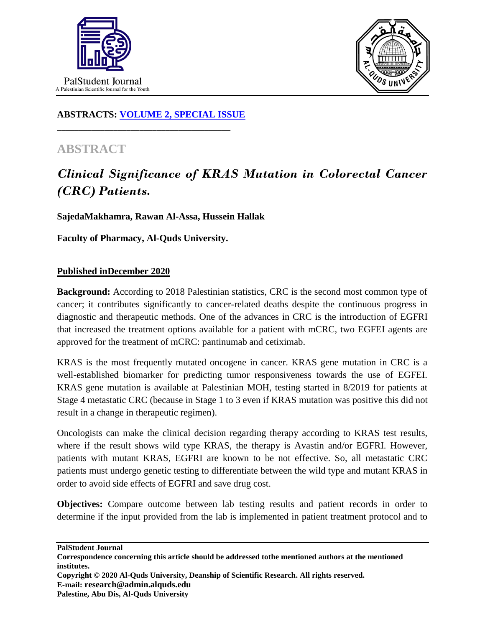



## **ABSTRACTS: [VOLUME 2, SPECIAL ISSUE](https://www.thelancet.com/journals/lancet/issue/vol393nonull/PIIS0140-6736(19)X0012-4)**

**\_\_\_\_\_\_\_\_\_\_\_\_\_\_\_\_\_\_\_\_\_\_\_\_\_\_\_\_\_\_\_\_\_\_\_\_\_\_\_\_**

## **ABSTRACT**

## *Clinical Significance of KRAS Mutation in Colorectal Cancer (CRC) Patients.*

**SajedaMakhamra, Rawan Al-Assa, Hussein Hallak**

**Faculty of Pharmacy, Al-Quds University.**

## **Published inDecember 2020**

**Background:** According to 2018 Palestinian statistics, CRC is the second most common type of cancer; it contributes significantly to cancer-related deaths despite the continuous progress in diagnostic and therapeutic methods. One of the advances in CRC is the introduction of EGFRI that increased the treatment options available for a patient with mCRC, two EGFEI agents are approved for the treatment of mCRC: pantinumab and cetiximab.

KRAS is the most frequently mutated oncogene in cancer. KRAS gene mutation in CRC is a well-established biomarker for predicting tumor responsiveness towards the use of EGFEI. KRAS gene mutation is available at Palestinian MOH, testing started in 8/2019 for patients at Stage 4 metastatic CRC (because in Stage 1 to 3 even if KRAS mutation was positive this did not result in a change in therapeutic regimen).

Oncologists can make the clinical decision regarding therapy according to KRAS test results, where if the result shows wild type KRAS, the therapy is Avastin and/or EGFRI. However, patients with mutant KRAS, EGFRI are known to be not effective. So, all metastatic CRC patients must undergo genetic testing to differentiate between the wild type and mutant KRAS in order to avoid side effects of EGFRI and save drug cost.

**Objectives:** Compare outcome between lab testing results and patient records in order to determine if the input provided from the lab is implemented in patient treatment protocol and to

**PalStudent Journal Correspondence concerning this article should be addressed tothe mentioned authors at the mentioned institutes. Copyright © 2020 Al-Quds University, Deanship of Scientific Research. All rights reserved. E-mail: research@admin.alquds.edu Palestine, Abu Dis, Al-Quds University**